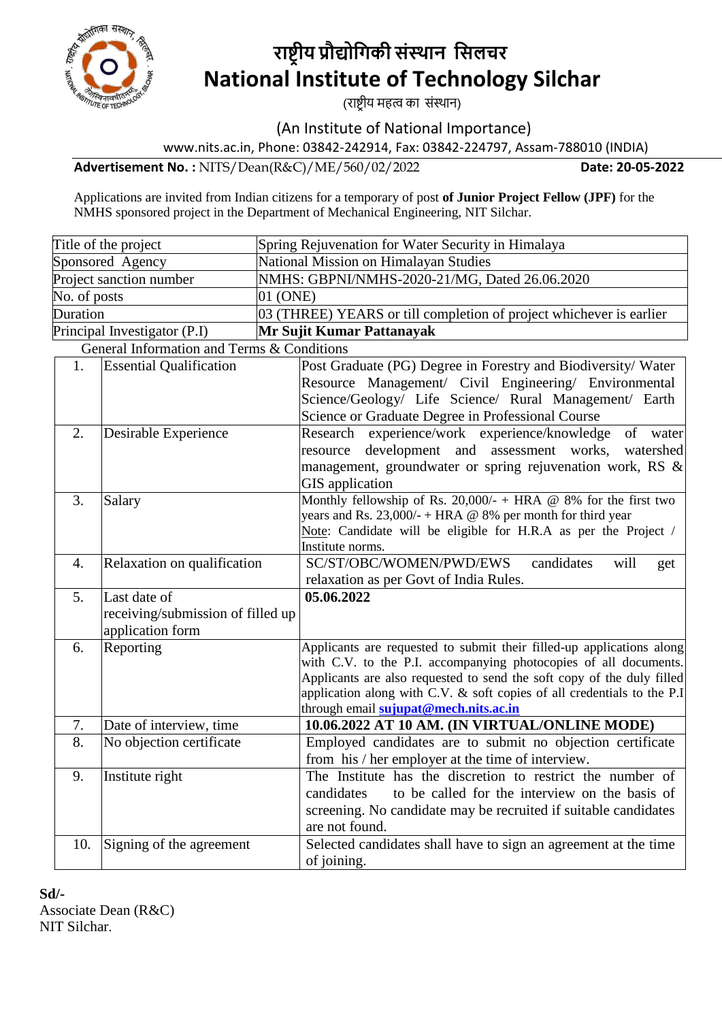

# **राष्ट्रीय प्रौद्योगिकी संस्थान गसलचर National Institute of Technology Silchar**

(राष्ट्रीय महत्व का संस्थान)

(An Institute of National Importance)

www.nits.ac.in, Phone: 03842-242914, Fax: 03842-224797, Assam-788010 (INDIA)

**Advertisement No. :** NITS/Dean(R&C)/ME/560/02/2022 **Date: 20-05-2022** 

Applications are invited from Indian citizens for a temporary of post **of Junior Project Fellow (JPF)** for the NMHS sponsored project in the Department of Mechanical Engineering, NIT Silchar.

| Title of the project                            |                                            |                                                            | Spring Rejuvenation for Water Security in Himalaya                                                                                         |  |  |  |  |
|-------------------------------------------------|--------------------------------------------|------------------------------------------------------------|--------------------------------------------------------------------------------------------------------------------------------------------|--|--|--|--|
| Sponsored Agency                                |                                            |                                                            | National Mission on Himalayan Studies                                                                                                      |  |  |  |  |
| Project sanction number                         |                                            |                                                            | NMHS: GBPNI/NMHS-2020-21/MG, Dated 26.06.2020                                                                                              |  |  |  |  |
| 01 (ONE)<br>No. of posts                        |                                            |                                                            |                                                                                                                                            |  |  |  |  |
| Duration                                        |                                            |                                                            | 03 (THREE) YEARS or till completion of project whichever is earlier                                                                        |  |  |  |  |
|                                                 | Principal Investigator (P.I)               |                                                            | Mr Sujit Kumar Pattanayak                                                                                                                  |  |  |  |  |
|                                                 | General Information and Terms & Conditions |                                                            |                                                                                                                                            |  |  |  |  |
|                                                 | <b>Essential Qualification</b><br>1.       |                                                            | Post Graduate (PG) Degree in Forestry and Biodiversity/ Water                                                                              |  |  |  |  |
|                                                 |                                            |                                                            | Resource Management/ Civil Engineering/ Environmental                                                                                      |  |  |  |  |
|                                                 |                                            |                                                            | Science/Geology/ Life Science/ Rural Management/ Earth                                                                                     |  |  |  |  |
|                                                 |                                            |                                                            | Science or Graduate Degree in Professional Course                                                                                          |  |  |  |  |
| 2.<br>Desirable Experience                      |                                            |                                                            | Research experience/work experience/knowledge<br>of<br>water                                                                               |  |  |  |  |
|                                                 |                                            |                                                            | development and assessment works,<br>watershed<br>resource                                                                                 |  |  |  |  |
|                                                 |                                            |                                                            | management, groundwater or spring rejuvenation work, RS &                                                                                  |  |  |  |  |
| 3.                                              | Salary                                     |                                                            | <b>GIS</b> application<br>Monthly fellowship of Rs. 20,000/- + HRA @ 8% for the first two                                                  |  |  |  |  |
|                                                 |                                            |                                                            | years and Rs. 23,000/- + HRA @ 8% per month for third year                                                                                 |  |  |  |  |
|                                                 |                                            |                                                            | Note: Candidate will be eligible for H.R.A as per the Project /                                                                            |  |  |  |  |
|                                                 |                                            |                                                            | Institute norms.                                                                                                                           |  |  |  |  |
| Relaxation on qualification<br>$\overline{4}$ . |                                            |                                                            | SC/ST/OBC/WOMEN/PWD/EWS<br>candidates<br>will<br>get                                                                                       |  |  |  |  |
|                                                 |                                            |                                                            | relaxation as per Govt of India Rules.                                                                                                     |  |  |  |  |
| 5.                                              | Last date of                               |                                                            | 05.06.2022                                                                                                                                 |  |  |  |  |
| receiving/submission of filled up               |                                            |                                                            |                                                                                                                                            |  |  |  |  |
|                                                 | application form                           |                                                            |                                                                                                                                            |  |  |  |  |
| Reporting<br>6.                                 |                                            |                                                            | Applicants are requested to submit their filled-up applications along                                                                      |  |  |  |  |
|                                                 |                                            |                                                            | with C.V. to the P.I. accompanying photocopies of all documents.<br>Applicants are also requested to send the soft copy of the duly filled |  |  |  |  |
|                                                 |                                            |                                                            | application along with C.V. & soft copies of all credentials to the P.I                                                                    |  |  |  |  |
|                                                 |                                            |                                                            | through email sujupat@mech.nits.ac.in                                                                                                      |  |  |  |  |
| 7.                                              | Date of interview, time                    |                                                            | 10.06.2022 AT 10 AM. (IN VIRTUAL/ONLINE MODE)                                                                                              |  |  |  |  |
| 8.                                              | No objection certificate                   |                                                            | Employed candidates are to submit no objection certificate                                                                                 |  |  |  |  |
|                                                 |                                            |                                                            | from his / her employer at the time of interview.                                                                                          |  |  |  |  |
| 9.                                              | Institute right                            | The Institute has the discretion to restrict the number of |                                                                                                                                            |  |  |  |  |
|                                                 |                                            |                                                            | to be called for the interview on the basis of<br>candidates                                                                               |  |  |  |  |
|                                                 |                                            |                                                            | screening. No candidate may be recruited if suitable candidates                                                                            |  |  |  |  |
|                                                 |                                            |                                                            | are not found.                                                                                                                             |  |  |  |  |
| 10.                                             | Signing of the agreement                   |                                                            | Selected candidates shall have to sign an agreement at the time                                                                            |  |  |  |  |
|                                                 |                                            |                                                            | of joining.                                                                                                                                |  |  |  |  |

**Sd/-** Associate Dean (R&C) NIT Silchar.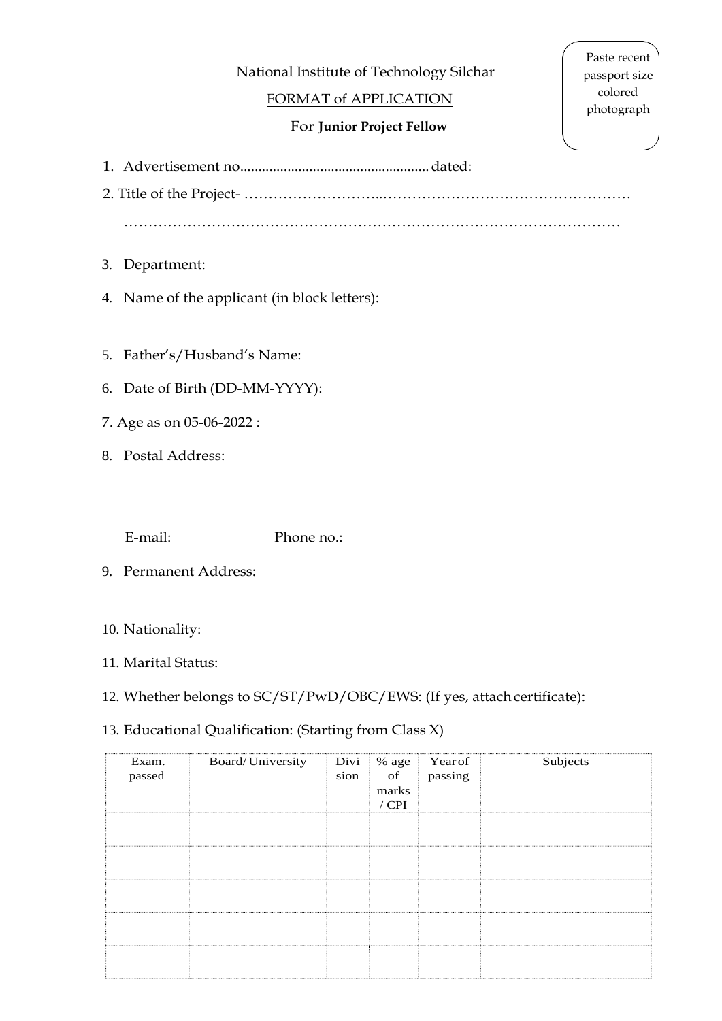National Institute of Technology Silchar

## FORMAT of APPLICATION

## For **Junior Project Fellow**

Paste recent passport size colored photograph

1. Advertisement no....................................................dated:

2. Title of the Project- ………………………..……………………………………………

…………………………………………………………………………………………

- 3. Department:
- 4. Name of the applicant (in block letters):
- 5. Father's/Husband's Name:
- 6. Date of Birth (DD-MM-YYYY):
- 7. Age as on 05-06-2022 :
- 8. Postal Address:

E-mail: Phone no.:

- 9. Permanent Address:
- 10. Nationality:
- 11. Marital Status:
- 12. Whether belongs to SC/ST/PwD/OBC/EWS: (If yes, attach certificate):

# 13. Educational Qualification: (Starting from Class X)

| Exam.<br>passed | Board/University | marks<br>$/$ CPI | Divi % age Year of<br>sion of passing | Subjects |
|-----------------|------------------|------------------|---------------------------------------|----------|
|                 |                  |                  |                                       |          |
|                 |                  |                  |                                       |          |
|                 |                  |                  |                                       |          |
|                 |                  |                  |                                       |          |
|                 |                  |                  |                                       |          |